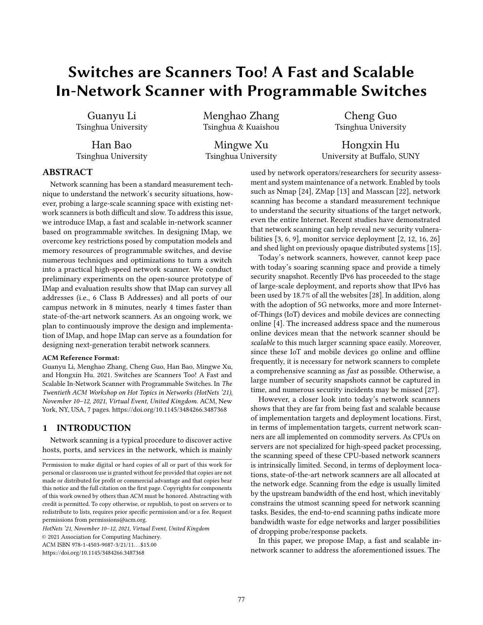# Switches are Scanners Too! A Fast and Scalable In-Network Scanner with Programmable Switches

Guanyu Li Tsinghua University

Han Bao Tsinghua University Menghao Zhang Tsinghua & Kuaishou

Mingwe Xu Tsinghua University

Cheng Guo Tsinghua University

Hongxin Hu University at Buffalo, SUNY

# ABSTRACT

Network scanning has been a standard measurement technique to understand the network's security situations, however, probing a large-scale scanning space with existing network scanners is both difficult and slow. To address this issue, we introduce IMap, a fast and scalable in-network scanner based on programmable switches. In designing IMap, we overcome key restrictions posed by computation models and memory resources of programmable switches, and devise numerous techniques and optimizations to turn a switch into a practical high-speed network scanner. We conduct preliminary experiments on the open-source prototype of IMap and evaluation results show that IMap can survey all addresses (i.e., 6 Class B Addresses) and all ports of our campus network in 8 minutes, nearly 4 times faster than state-of-the-art network scanners. As an ongoing work, we plan to continuously improve the design and implementation of IMap, and hope IMap can serve as a foundation for designing next-generation terabit network scanners.

#### ACM Reference Format:

Guanyu Li, Menghao Zhang, Cheng Guo, Han Bao, Mingwe Xu, and Hongxin Hu. 2021. Switches are Scanners Too! A Fast and Scalable In-Network Scanner with Programmable Switches. In The Twentieth ACM Workshop on Hot Topics in Networks (HotNets '21), November 10–12, 2021, Virtual Event, United Kingdom. ACM, New York, NY, USA, 7 pages. https://doi.org/10.1145/3484266.3487368

# 1 INTRODUCTION

Network scanning is a typical procedure to discover active hosts, ports, and services in the network, which is mainly

HotNets '21, November 10–12, 2021, Virtual Event, United Kingdom

© 2021 Association for Computing Machinery.

ACM ISBN 978-1-4503-9087-3/21/11...\$15.00

https://doi.org/10.1145/3484266.3487368

used by network operators/researchers for security assessment and system maintenance of a network. Enabled by tools such as Nmap [24], ZMap [13] and Masscan [22], network scanning has become a standard measurement technique to understand the security situations of the target network, even the entire Internet. Recent studies have demonstrated that network scanning can help reveal new security vulnerabilities [3, 6, 9], monitor service deployment [2, 12, 16, 26] and shed light on previously opaque distributed systems [15].

Today's network scanners, however, cannot keep pace with today's soaring scanning space and provide a timely security snapshot. Recently IPv6 has proceeded to the stage of large-scale deployment, and reports show that IPv6 has been used by 18.7% of all the websites [28]. In addition, along with the adoption of 5G networks, more and more Internetof-Things (IoT) devices and mobile devices are connecting online [4]. The increased address space and the numerous online devices mean that the network scanner should be scalable to this much larger scanning space easily. Moreover, since these IoT and mobile devices go online and offline frequently, it is necessary for network scanners to complete a comprehensive scanning as fast as possible. Otherwise, a large number of security snapshots cannot be captured in time, and numerous security incidents may be missed [27].

However, a closer look into today's network scanners shows that they are far from being fast and scalable because of implementation targets and deployment locations. First, in terms of implementation targets, current network scanners are all implemented on commodity servers. As CPUs on servers are not specialized for high-speed packet processing, the scanning speed of these CPU-based network scanners is intrinsically limited. Second, in terms of deployment locations, state-of-the-art network scanners are all allocated at the network edge. Scanning from the edge is usually limited by the upstream bandwidth of the end host, which inevitably constrains the utmost scanning speed for network scanning tasks. Besides, the end-to-end scanning paths indicate more bandwidth waste for edge networks and larger possibilities of dropping probe/response packets.

In this paper, we propose IMap, a fast and scalable innetwork scanner to address the aforementioned issues. The

Permission to make digital or hard copies of all or part of this work for personal or classroom use is granted without fee provided that copies are not made or distributed for profit or commercial advantage and that copies bear this notice and the full citation on the first page. Copyrights for components of this work owned by others than ACM must be honored. Abstracting with credit is permitted. To copy otherwise, or republish, to post on servers or to redistribute to lists, requires prior specific permission and/or a fee. Request permissions from permissions@acm.org.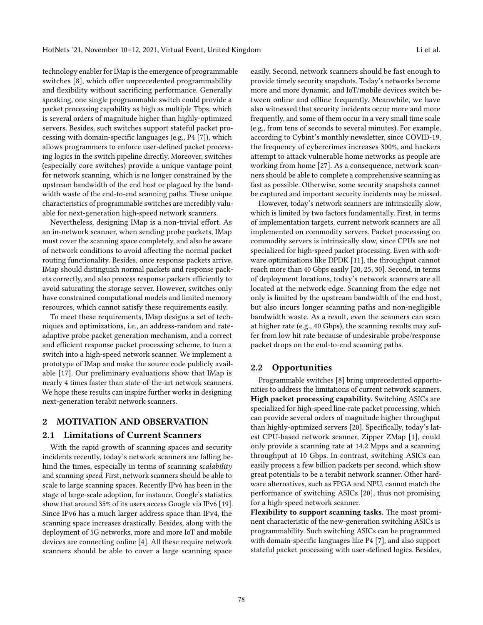technology enabler for IMap is the emergence of programmable switches [8], which offer unprecedented programmability and flexibility without sacrificing performance. Generally speaking, one single programmable switch could provide a packet processing capability as high as multiple Tbps, which is several orders of magnitude higher than highly-optimized servers. Besides, such switches support stateful packet processing with domain-specific languages (e.g., P4 [7]), which allows programmers to enforce user-defined packet processing logics in the switch pipeline directly. Moreover, switches (especially core switches) provide a unique vantage point for network scanning, which is no longer constrained by the upstream bandwidth of the end host or plagued by the bandwidth waste of the end-to-end scanning paths. These unique characteristics of programmable switches are incredibly valuable for next-generation high-speed network scanners.

Nevertheless, designing IMap is a non-trivial effort. As an in-network scanner, when sending probe packets, IMap must cover the scanning space completely, and also be aware of network conditions to avoid affecting the normal packet routing functionality. Besides, once response packets arrive, IMap should distinguish normal packets and response packets correctly, and also process response packets efficiently to avoid saturating the storage server. However, switches only have constrained computational models and limited memory resources, which cannot satisfy these requirements easily.

To meet these requirements, IMap designs a set of techniques and optimizations, i.e., an address-random and rateadaptive probe packet generation mechanism, and a correct and efficient response packet processing scheme, to turn a switch into a high-speed network scanner. We implement a prototype of IMap and make the source code publicly available [17]. Our preliminary evaluations show that IMap is nearly 4 times faster than state-of-the-art network scanners. We hope these results can inspire further works in designing next-generation terabit network scanners.

#### 2 MOTIVATION AND OBSERVATION

#### 2.1 Limitations of Current Scanners

With the rapid growth of scanning spaces and security incidents recently, today's network scanners are falling behind the times, especially in terms of scanning *scalability* and scanning speed. First, network scanners should be able to scale to large scanning spaces. Recently IPv6 has been in the stage of large-scale adoption, for instance, Google's statistics show that around 35% of its users access Google via IPv6 [19]. Since IPv6 has a much larger address space than IPv4, the scanning space increases drastically. Besides, along with the deployment of 5G networks, more and more IoT and mobile devices are connecting online [4]. All these require network scanners should be able to cover a large scanning space

easily. Second, network scanners should be fast enough to provide timely security snapshots. Today's networks become more and more dynamic, and IoT/mobile devices switch between online and offline frequently. Meanwhile, we have also witnessed that security incidents occur more and more frequently, and some of them occur in a very small time scale (e.g., from tens of seconds to several minutes). For example, according to Cybint's monthly newsletter, since COVID-19, the frequency of cybercrimes increases 300%, and hackers attempt to attack vulnerable home networks as people are working from home [27]. As a consequence, network scanners should be able to complete a comprehensive scanning as fast as possible. Otherwise, some security snapshots cannot be captured and important security incidents may be missed.

However, today's network scanners are intrinsically slow, which is limited by two factors fundamentally. First, in terms of implementation targets, current network scanners are all implemented on commodity servers. Packet processing on commodity servers is intrinsically slow, since CPUs are not specialized for high-speed packet processing. Even with software optimizations like DPDK [11], the throughput cannot reach more than 40 Gbps easily [20, 25, 30]. Second, in terms of deployment locations, today's network scanners are all located at the network edge. Scanning from the edge not only is limited by the upstream bandwidth of the end host, but also incurs longer scanning paths and non-negligible bandwidth waste. As a result, even the scanners can scan at higher rate (e.g., 40 Gbps), the scanning results may suffer from low hit rate because of undesirable probe/response packet drops on the end-to-end scanning paths.

#### 2.2 Opportunities

Programmable switches [8] bring unprecedented opportunities to address the limitations of current network scanners. High packet processing capability. Switching ASICs are specialized for high-speed line-rate packet processing, which can provide several orders of magnitude higher throughput than highly-optimized servers [20]. Specifically, today's latest CPU-based network scanner, Zipper ZMap [1], could only provide a scanning rate at 14.2 Mpps and a scanning throughput at 10 Gbps. In contrast, switching ASICs can easily process a few billion packets per second, which show great potentials to be a terabit network scanner. Other hardware alternatives, such as FPGA and NPU, cannot match the performance of switching ASICs [20], thus not promising for a high-speed network scanner.

Flexibility to support scanning tasks. The most prominent characteristic of the new-generation switching ASICs is programmability. Such switching ASICs can be programmed with domain-specific languages like P4 [7], and also support stateful packet processing with user-defined logics. Besides,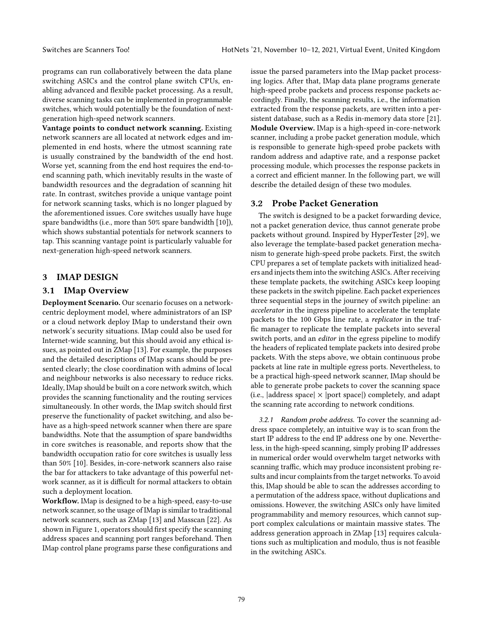programs can run collaboratively between the data plane switching ASICs and the control plane switch CPUs, enabling advanced and flexible packet processing. As a result, diverse scanning tasks can be implemented in programmable switches, which would potentially be the foundation of nextgeneration high-speed network scanners.

Vantage points to conduct network scanning. Existing network scanners are all located at network edges and implemented in end hosts, where the utmost scanning rate is usually constrained by the bandwidth of the end host. Worse yet, scanning from the end host requires the end-toend scanning path, which inevitably results in the waste of bandwidth resources and the degradation of scanning hit rate. In contrast, switches provide a unique vantage point for network scanning tasks, which is no longer plagued by the aforementioned issues. Core switches usually have huge spare bandwidths (i.e., more than 50% spare bandwidth [10]), which shows substantial potentials for network scanners to tap. This scanning vantage point is particularly valuable for next-generation high-speed network scanners.

# 3 IMAP DESIGN

# 3.1 IMap Overview

Deployment Scenario. Our scenario focuses on a networkcentric deployment model, where administrators of an ISP or a cloud network deploy IMap to understand their own network's security situations. IMap could also be used for Internet-wide scanning, but this should avoid any ethical issues, as pointed out in ZMap [13]. For example, the purposes and the detailed descriptions of IMap scans should be presented clearly; the close coordination with admins of local and neighbour networks is also necessary to reduce ricks. Ideally, IMap should be built on a core network switch, which provides the scanning functionality and the routing services simultaneously. In other words, the IMap switch should first preserve the functionality of packet switching, and also behave as a high-speed network scanner when there are spare bandwidths. Note that the assumption of spare bandwidths in core switches is reasonable, and reports show that the bandwidth occupation ratio for core switches is usually less than 50% [10]. Besides, in-core-network scanners also raise the bar for attackers to take advantage of this powerful network scanner, as it is difficult for normal attackers to obtain such a deployment location.

Workflow. IMap is designed to be a high-speed, easy-to-use network scanner, so the usage of IMap is similar to traditional network scanners, such as ZMap [13] and Masscan [22]. As shown in Figure 1, operators should first specify the scanning address spaces and scanning port ranges beforehand. Then IMap control plane programs parse these configurations and issue the parsed parameters into the IMap packet processing logics. After that, IMap data plane programs generate high-speed probe packets and process response packets accordingly. Finally, the scanning results, i.e., the information extracted from the response packets, are written into a persistent database, such as a Redis in-memory data store [21]. Module Overview. IMap is a high-speed in-core-network scanner, including a probe packet generation module, which is responsible to generate high-speed probe packets with random address and adaptive rate, and a response packet processing module, which processes the response packets in a correct and efficient manner. In the following part, we will describe the detailed design of these two modules.

# 3.2 Probe Packet Generation

The switch is designed to be a packet forwarding device, not a packet generation device, thus cannot generate probe packets without ground. Inspired by HyperTester [29], we also leverage the template-based packet generation mechanism to generate high-speed probe packets. First, the switch CPU prepares a set of template packets with initialized headers and injects them into the switching ASICs. After receiving these template packets, the switching ASICs keep looping these packets in the switch pipeline. Each packet experiences three sequential steps in the journey of switch pipeline: an accelerator in the ingress pipeline to accelerate the template packets to the 100 Gbps line rate, a replicator in the traffic manager to replicate the template packets into several switch ports, and an editor in the egress pipeline to modify the headers of replicated template packets into desired probe packets. With the steps above, we obtain continuous probe packets at line rate in multiple egress ports. Nevertheless, to be a practical high-speed network scanner, IMap should be able to generate probe packets to cover the scanning space (i.e.,  $|address space| \times |port space|)$  completely, and adapt the scanning rate according to network conditions.

3.2.1 Random probe address. To cover the scanning address space completely, an intuitive way is to scan from the start IP address to the end IP address one by one. Nevertheless, in the high-speed scanning, simply probing IP addresses in numerical order would overwhelm target networks with scanning traffic, which may produce inconsistent probing results and incur complaints from the target networks. To avoid this, IMap should be able to scan the addresses according to a permutation of the address space, without duplications and omissions. However, the switching ASICs only have limited programmability and memory resources, which cannot support complex calculations or maintain massive states. The address generation approach in ZMap [13] requires calculations such as multiplication and modulo, thus is not feasible in the switching ASICs.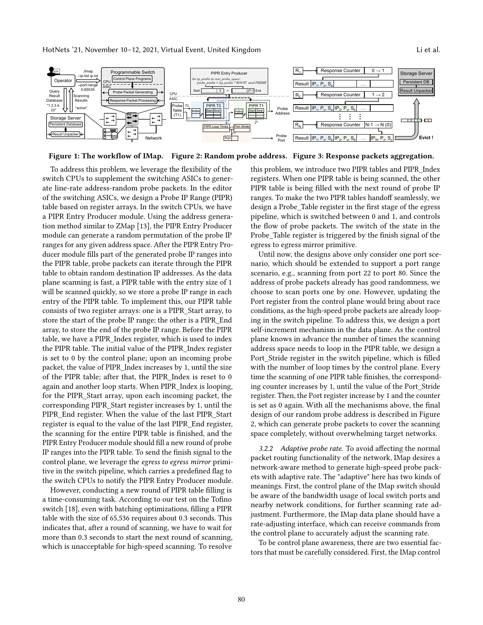HotNets '21, November 10–12, 2021, Virtual Event, United Kingdom Little Little al.

Programmable Switch

Control Plane Programs

./imap --ip-list ip.txt

CPU ASIC

**Operator** 





Figure 1: The workflow of IMap. Figure 2: Random probe address. Figure 3: Response packets aggregation.

To address this problem, we leverage the flexibility of the switch CPUs to supplement the switching ASICs to generate line-rate address-random probe packets. In the editor of the switching ASICs, we design a Probe IP Range (PIPR) table based on register arrays. In the switch CPUs, we have a PIPR Entry Producer module. Using the address generation method similar to ZMap [13], the PIPR Entry Producer module can generate a random permutation of the probe IP ranges for any given address space. After the PIPR Entry Producer module fills part of the generated probe IP ranges into the PIPR table, probe packets can iterate through the PIPR table to obtain random destination IP addresses. As the data plane scanning is fast, a PIPR table with the entry size of 1 will be scanned quickly, so we store a probe IP range in each entry of the PIPR table. To implement this, our PIPR table consists of two register arrays: one is a PIPR\_Start array, to store the start of the probe IP range; the other is a PIPR\_End array, to store the end of the probe IP range. Before the PIPR table, we have a PIPR\_Index register, which is used to index the PIPR table. The initial value of the PIPR\_Index register is set to 0 by the control plane; upon an incoming probe packet, the value of PIPR\_Index increases by 1, until the size of the PIPR table; after that, the PIPR\_Index is reset to 0 again and another loop starts. When PIPR\_Index is looping, for the PIPR\_Start array, upon each incoming packet, the corresponding PIPR\_Start register increases by 1, until the PIPR\_End register. When the value of the last PIPR\_Start register is equal to the value of the last PIPR\_End register, the scanning for the entire PIPR table is finished, and the PIPR Entry Producer module should fill a new round of probe IP ranges into the PIPR table. To send the finish signal to the control plane, we leverage the egress to egress mirror primitive in the switch pipeline, which carries a predefined flag to the switch CPUs to notify the PIPR Entry Producer module.

However, conducting a new round of PIPR table filling is a time-consuming task. According to our test on the Tofino switch [18], even with batching optimizations, filling a PIPR table with the size of 65,536 requires about 0.3 seconds. This indicates that, after a round of scanning, we have to wait for more than 0.3 seconds to start the next round of scanning, which is unacceptable for high-speed scanning. To resolve

this problem, we introduce two PIPR tables and PIPR\_Index registers. When one PIPR table is being scanned, the other PIPR table is being filled with the next round of probe IP ranges. To make the two PIPR tables handoff seamlessly, we design a Probe\_Table register in the first stage of the egress pipeline, which is switched between 0 and 1, and controls the flow of probe packets. The switch of the state in the Probe Table register is triggered by the finish signal of the egress to egress mirror primitive.

Until now, the designs above only consider one port scenario, which should be extended to support a port range scenario, e.g., scanning from port 22 to port 80. Since the address of probe packets already has good randomness, we choose to scan ports one by one. However, updating the Port register from the control plane would bring about race conditions, as the high-speed probe packets are already looping in the switch pipeline. To address this, we design a port self-increment mechanism in the data plane. As the control plane knows in advance the number of times the scanning address space needs to loop in the PIPR table, we design a Port Stride register in the switch pipeline, which is filled with the number of loop times by the control plane. Every time the scanning of one PIPR table finishes, the corresponding counter increases by 1, until the value of the Port\_Stride register. Then, the Port register increase by 1 and the counter is set as 0 again. With all the mechanisms above, the final design of our random probe address is described in Figure 2, which can generate probe packets to cover the scanning space completely, without overwhelming target networks.

3.2.2 Adaptive probe rate. To avoid affecting the normal packet routing functionality of the network, IMap desires a network-aware method to generate high-speed probe packets with adaptive rate. The "adaptive" here has two kinds of meanings. First, the control plane of the IMap switch should be aware of the bandwidth usage of local switch ports and nearby network conditions, for further scanning rate adjustment. Furthermore, the IMap data plane should have a rate-adjusting interface, which can receive commands from the control plane to accurately adjust the scanning rate.

To be control plane awareness, there are two essential factors that must be carefully considered. First, the IMap control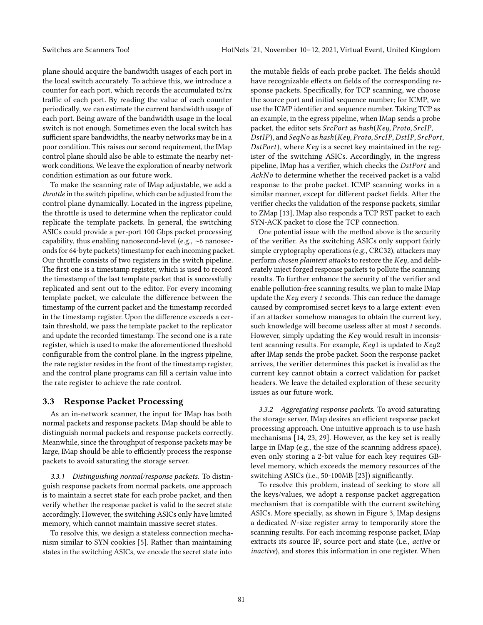plane should acquire the bandwidth usages of each port in the local switch accurately. To achieve this, we introduce a counter for each port, which records the accumulated tx/rx traffic of each port. By reading the value of each counter periodically, we can estimate the current bandwidth usage of each port. Being aware of the bandwidth usage in the local switch is not enough. Sometimes even the local switch has sufficient spare bandwidths, the nearby networks may be in a poor condition. This raises our second requirement, the IMap control plane should also be able to estimate the nearby network conditions. We leave the exploration of nearby network condition estimation as our future work.

To make the scanning rate of IMap adjustable, we add a throttle in the switch pipeline, which can be adjusted from the control plane dynamically. Located in the ingress pipeline, the throttle is used to determine when the replicator could replicate the template packets. In general, the switching ASICs could provide a per-port 100 Gbps packet processing capability, thus enabling nanosecond-level (e.g., ∼6 nanoseconds for 64-byte packets) timestamp for each incoming packet. Our throttle consists of two registers in the switch pipeline. The first one is a timestamp register, which is used to record the timestamp of the last template packet that is successfully replicated and sent out to the editor. For every incoming template packet, we calculate the difference between the timestamp of the current packet and the timestamp recorded in the timestamp register. Upon the difference exceeds a certain threshold, we pass the template packet to the replicator and update the recorded timestamp. The second one is a rate register, which is used to make the aforementioned threshold configurable from the control plane. In the ingress pipeline, the rate register resides in the front of the timestamp register, and the control plane programs can fill a certain value into the rate register to achieve the rate control.

#### 3.3 Response Packet Processing

As an in-network scanner, the input for IMap has both normal packets and response packets. IMap should be able to distinguish normal packets and response packets correctly. Meanwhile, since the throughput of response packets may be large, IMap should be able to efficiently process the response packets to avoid saturating the storage server.

3.3.1 Distinguishing normal/response packets. To distinguish response packets from normal packets, one approach is to maintain a secret state for each probe packet, and then verify whether the response packet is valid to the secret state accordingly. However, the switching ASICs only have limited memory, which cannot maintain massive secret states.

To resolve this, we design a stateless connection mechanism similar to SYN cookies [5]. Rather than maintaining states in the switching ASICs, we encode the secret state into

the mutable fields of each probe packet. The fields should have recognizable effects on fields of the corresponding response packets. Specifically, for TCP scanning, we choose the source port and initial sequence number; for ICMP, we use the ICMP identifier and sequence number. Taking TCP as an example, in the egress pipeline, when IMap sends a probe packet, the editor sets  $SrcPort$  as  $hash(Key, Proto, SrcIP,$ DstIP), and SeqNo as hash (Key, Proto, SrcIP, DstIP, SrcPort,  $DstPort$ ), where  $Key$  is a secret key maintained in the register of the switching ASICs. Accordingly, in the ingress pipeline, IMap has a verifier, which checks the  $DstPort$  and  $AckNo$  to determine whether the received packet is a valid response to the probe packet. ICMP scanning works in a similar manner, except for different packet fields. After the verifier checks the validation of the response packets, similar to ZMap [13], IMap also responds a TCP RST packet to each SYN-ACK packet to close the TCP connection.

One potential issue with the method above is the security of the verifier. As the switching ASICs only support fairly simple cryptography operations (e.g., CRC32), attackers may perform chosen plaintext attacks to restore the  $Key$ , and deliberately inject forged response packets to pollute the scanning results. To further enhance the security of the verifier and enable pollution-free scanning results, we plan to make IMap update the  $Key$  every  $t$  seconds. This can reduce the damage caused by compromised secret keys to a large extent: even if an attacker somehow manages to obtain the current key, such knowledge will become useless after at most  $t$  seconds. However, simply updating the  $Key$  would result in inconsistent scanning results. For example,  $Key1$  is updated to  $Key2$ after IMap sends the probe packet. Soon the response packet arrives, the verifier determines this packet is invalid as the current key cannot obtain a correct validation for packet headers. We leave the detailed exploration of these security issues as our future work.

3.3.2 Aggregating response packets. To avoid saturating the storage server, IMap desires an efficient response packet processing approach. One intuitive approach is to use hash mechanisms [14, 23, 29]. However, as the key set is really large in IMap (e.g., the size of the scanning address space), even only storing a 2-bit value for each key requires GBlevel memory, which exceeds the memory resources of the switching ASICs (i.e., 50-100MB [23]) significantly.

To resolve this problem, instead of seeking to store all the keys/values, we adopt a response packet aggregation mechanism that is compatible with the current switching ASICs. More specially, as shown in Figure 3, IMap designs a dedicated  $N$ -size register array to temporarily store the scanning results. For each incoming response packet, IMap extracts its source IP, source port and state (i.e., active or inactive), and stores this information in one register. When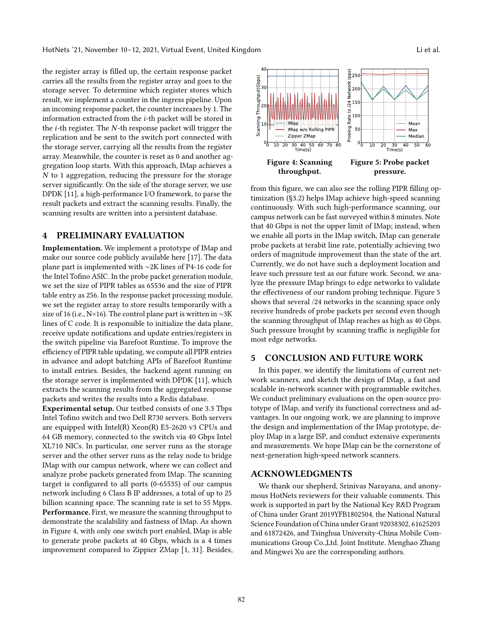the register array is filled up, the certain response packet carries all the results from the register array and goes to the storage server. To determine which register stores which result, we implement a counter in the ingress pipeline. Upon an incoming response packet, the counter increases by 1. The information extracted from the *i*-th packet will be stored in the  $i$ -th register. The  $N$ -th response packet will trigger the replication and be sent to the switch port connected with the storage server, carrying all the results from the register array. Meanwhile, the counter is reset as 0 and another aggregation loop starts. With this approach, IMap achieves a  $N$  to 1 aggregation, reducing the pressure for the storage server significantly. On the side of the storage server, we use DPDK [11], a high-performance I/O framework, to parse the result packets and extract the scanning results. Finally, the scanning results are written into a persistent database.

#### 4 PRELIMINARY EVALUATION

Implementation. We implement a prototype of IMap and make our source code publicly available here [17]. The data plane part is implemented with ∼2K lines of P4-16 code for the Intel Tofino ASIC. In the probe packet generation module, we set the size of PIPR tables as 65536 and the size of PIPR table entry as 256. In the response packet processing module, we set the register array to store results temporarily with a size of 16 (i.e., N=16). The control plane part is written in ∼3K lines of C code. It is responsible to initialize the data plane, receive update notifications and update entries/registers in the switch pipeline via Barefoot Runtime. To improve the efficiency of PIPR table updating, we compute all PIPR entries in advance and adopt batching APIs of Barefoot Runtime to install entries. Besides, the backend agent running on the storage server is implemented with DPDK [11], which extracts the scanning results from the aggregated response packets and writes the results into a Redis database.

Experimental setup. Our testbed consists of one 3.3 Tbps Intel Tofino switch and two Dell R730 servers. Both servers are equipped with Intel(R) Xeon(R) E5-2620 v3 CPUs and 64 GB memory, connected to the switch via 40 Gbps Intel XL710 NICs. In particular, one server runs as the storage server and the other server runs as the relay node to bridge IMap with our campus network, where we can collect and analyze probe packets generated from IMap. The scanning target is configured to all ports (0-65535) of our campus network including 6 Class B IP addresses, a total of up to 25 billion scanning space. The scanning rate is set to 55 Mpps. Performance. First, we measure the scanning throughput to demonstrate the scalability and fastness of IMap. As shown in Figure 4, with only one switch port enabled, IMap is able to generate probe packets at 40 Gbps, which is a 4 times improvement compared to Zippier ZMap [1, 31]. Besides,



from this figure, we can also see the rolling PIPR filling optimization (§3.2) helps IMap achieve high-speed scanning continuously. With such high-performance scanning, our campus network can be fast surveyed within 8 minutes. Note that 40 Gbps is not the upper limit of IMap; instead, when we enable all ports in the IMap switch, IMap can generate probe packets at terabit line rate, potentially achieving two orders of magnitude improvement than the state of the art. Currently, we do not have such a deployment location and leave such pressure test as our future work. Second, we analyze the pressure IMap brings to edge networks to validate the effectiveness of our random probing technique. Figure 5 shows that several /24 networks in the scanning space only receive hundreds of probe packets per second even though the scanning throughput of IMap reaches as high as 40 Gbps. Such pressure brought by scanning traffic is negligible for most edge networks.

#### 5 CONCLUSION AND FUTURE WORK

In this paper, we identify the limitations of current network scanners, and sketch the design of IMap, a fast and scalable in-network scanner with programmable switches. We conduct preliminary evaluations on the open-source prototype of IMap, and verify its functional correctness and advantages. In our ongoing work, we are planning to improve the design and implementation of the IMap prototype, deploy IMap in a large ISP, and conduct extensive experiments and measurements. We hope IMap can be the cornerstone of next-generation high-speed network scanners.

# ACKNOWLEDGMENTS

We thank our shepherd, Srinivas Narayana, and anonymous HotNets reviewers for their valuable comments. This work is supported in part by the National Key R&D Program of China under Grant 2019YFB1802504, the National Natural Science Foundation of China under Grant 92038302, 61625203 and 61872426, and Tsinghua University-China Mobile Communications Group Co.,Ltd. Joint Institute. Menghao Zhang and Mingwei Xu are the corresponding authors.